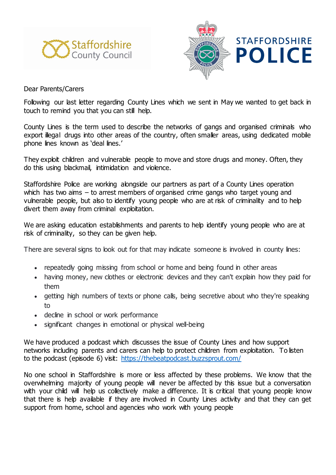



Dear Parents/Carers

Following our last letter regarding County Lines which we sent in May we wanted to get back in touch to remind you that you can still help.

County Lines is the term used to describe the networks of gangs and organised criminals who export illegal drugs into other areas of the country, often smaller areas, using dedicated mobile phone lines known as 'deal lines.'

They exploit children and vulnerable people to move and store drugs and money. Often, they do this using blackmail, intimidation and violence.

Staffordshire Police are working alongside our partners as part of a County Lines operation which has two aims – to arrest members of organised crime gangs who target young and vulnerable people, but also to identify young people who are at risk of criminality and to help divert them away from criminal exploitation.

We are asking education establishments and parents to help identify young people who are at risk of criminality, so they can be given help.

There are several signs to look out for that may indicate someone is involved in county lines:

- repeatedly going missing from school or home and being found in other areas
- having money, new clothes or electronic devices and they can't explain how they paid for them
- getting high numbers of texts or phone calls, being secretive about who they're speaking to
- decline in school or work performance
- significant changes in emotional or physical well-being

We have produced a podcast which discusses the issue of County Lines and how support networks including parents and carers can help to protect children from exploitation. To listen to the podcast (episode 6) visit: <https://thebeatpodcast.buzzsprout.com/>

No one school in Staffordshire is more or less affected by these problems. We know that the overwhelming majority of young people will never be affected by this issue but a conversation with your child will help us collectively make a difference. It is critical that young people know that there is help available if they are involved in County Lines activity and that they can get support from home, school and agencies who work with young people